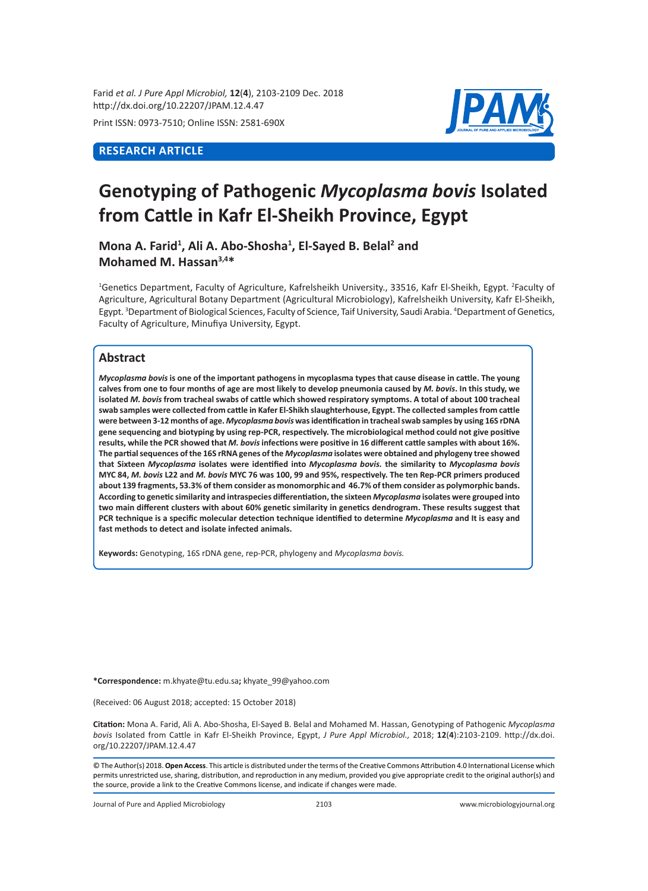Farid *et al. J Pure Appl Microbiol,* **12**(**4**), 2103-2109 Dec. 2018 http://dx.doi.org/10.22207/JPAM.12.4.47

Print ISSN: 0973-7510; Online ISSN: 2581-690X

## **RESEARCH ARTICLE**



# **Genotyping of Pathogenic** *Mycoplasma bovis* **Isolated from Cattle in Kafr El-Sheikh Province, Egypt**

Mona A. Farid<sup>1</sup>, Ali A. Abo-Shosha<sup>1</sup>, El-Sayed B. Belal<sup>2</sup> and **Mohamed M. Hassan3,4\***

<sup>1</sup>Genetics Department, Faculty of Agriculture, Kafrelsheikh University., 33516, Kafr El-Sheikh, Egypt. <sup>2</sup>Faculty of Agriculture, Agricultural Botany Department (Agricultural Microbiology), Kafrelsheikh University, Kafr El-Sheikh, Egypt. <sup>3</sup>Department of Biological Sciences, Faculty of Science, Taif University, Saudi Arabia. <sup>4</sup>Department of Genetics, Faculty of Agriculture, Minufiya University, Egypt.

## **Abstract**

*Mycoplasma bovis* **is one of the important pathogens in mycoplasma types that cause disease in cattle. The young calves from one to four months of age are most likely to develop pneumonia caused by** *M. bovis***. In this study, we isolated** *M. bovis* **from tracheal swabs of cattle which showed respiratory symptoms. A total of about 100 tracheal swab samples were collected from cattle in Kafer El-Shikh slaughterhouse, Egypt. The collected samples from cattle were between 3-12 months of age.** *Mycoplasma bovis* **was identification in tracheal swab samples by using 16S rDNA gene sequencing and biotyping by using rep-PCR, respectively. The microbiological method could not give positive results, while the PCR showed that** *M. bovis* **infections were positive in 16 different cattle samples with about 16%. The partial sequences of the 16S rRNA genes of the** *Mycoplasma* **isolates were obtained and phylogeny tree showed that Sixteen** *Mycoplasma* **isolates were identified into** *Mycoplasma bovis.* **the similarity to** *Mycoplasma bovis*  **MYC 84,** *M. bovis* **L22 and** *M. bovis* **MYC 76 was 100, 99 and 95%, respectively. The ten Rep-PCR primers produced about 139 fragments, 53.3% of them consider as monomorphic and 46.7% of them consider as polymorphic bands. According to genetic similarity and intraspecies differentiation, the sixteen** *Mycoplasma* **isolates were grouped into two main different clusters with about 60% genetic similarity in genetics dendrogram. These results suggest that PCR technique is a specific molecular detection technique identified to determine** *Mycoplasma* **and It is easy and fast methods to detect and isolate infected animals.**

**Keywords:** Genotyping, 16S rDNA gene, rep-PCR, phylogeny and *Mycoplasma bovis.*

**\*Correspondence:** m.khyate@tu.edu.sa**;** khyate\_99@yahoo.com

(Received: 06 August 2018; accepted: 15 October 2018)

**Citation:** Mona A. Farid, Ali A. Abo-Shosha, El-Sayed B. Belal and Mohamed M. Hassan, Genotyping of Pathogenic *Mycoplasma bovis* Isolated from Cattle in Kafr El-Sheikh Province, Egypt, *J Pure Appl Microbiol.,* 2018; **12**(**4**):2103-2109. http://dx.doi. org/10.22207/JPAM.12.4.47

© The Author(s) 2018. **Open Access**. This article is distributed under the terms of the Creative Commons Attribution 4.0 International License which permits unrestricted use, sharing, distribution, and reproduction in any medium, provided you give appropriate credit to the original author(s) and the source, provide a link to the Creative Commons license, and indicate if changes were made.

Journal of Pure and Applied Microbiology 2103 www.microbiologyjournal.org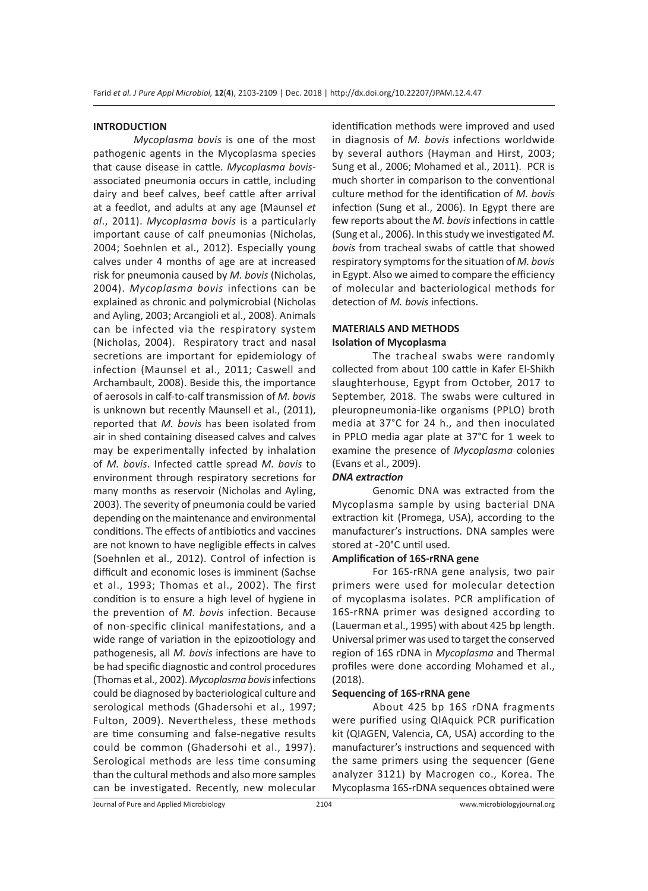#### **INTRODUCTION**

*Mycoplasma bovis* is one of the most pathogenic agents in the Mycoplasma species that cause disease in cattle. *Mycoplasma bovis*associated pneumonia occurs in cattle, including dairy and beef calves, beef cattle after arrival at a feedlot, and adults at any age (Maunsel *et al*., 2011). *Mycoplasma bovis* is a particularly important cause of calf pneumonias (Nicholas, 2004; Soehnlen et al., 2012). Especially young calves under 4 months of age are at increased risk for pneumonia caused by *M. bovis* (Nicholas, 2004). *Mycoplasma bovis* infections can be explained as chronic and polymicrobial (Nicholas and Ayling, 2003; Arcangioli et al., 2008). Animals can be infected via the respiratory system (Nicholas, 2004). Respiratory tract and nasal secretions are important for epidemiology of infection (Maunsel et al., 2011; Caswell and Archambault, 2008). Beside this, the importance of aerosols in calf-to-calf transmission of *M. bovis*  is unknown but recently Maunsell et al., (2011), reported that *M. bovis* has been isolated from air in shed containing diseased calves and calves may be experimentally infected by inhalation of *M. bovis*. Infected cattle spread *M. bovis* to environment through respiratory secretions for many months as reservoir (Nicholas and Ayling, 2003). The severity of pneumonia could be varied depending on the maintenance and environmental conditions. The effects of antibiotics and vaccines are not known to have negligible effects in calves (Soehnlen et al., 2012). Control of infection is difficult and economic loses is imminent (Sachse et al., 1993; Thomas et al., 2002). The first condition is to ensure a high level of hygiene in the prevention of *M. bovis* infection. Because of non-specific clinical manifestations, and a wide range of variation in the epizootiology and pathogenesis, all *M. bovis* infections are have to be had specific diagnostic and control procedures (Thomas et al., 2002). *Mycoplasma bovis* infections could be diagnosed by bacteriological culture and serological methods (Ghadersohi et al., 1997; Fulton, 2009). Nevertheless, these methods are time consuming and false-negative results could be common (Ghadersohi et al., 1997). Serological methods are less time consuming than the cultural methods and also more samples can be investigated. Recently, new molecular identification methods were improved and used in diagnosis of *M. bovis* infections worldwide by several authors (Hayman and Hirst, 2003; Sung et al., 2006; Mohamed et al., 2011). PCR is much shorter in comparison to the conventional culture method for the identification of *M. bovis*  infection (Sung et al., 2006). In Egypt there are few reports about the *M. bovis* infections in cattle (Sung et al., 2006). In this study we investigated *M. bovis* from tracheal swabs of cattle that showed respiratory symptoms for the situation of *M. bovis*  in Egypt. Also we aimed to compare the efficiency of molecular and bacteriological methods for detection of *M. bovis* infections.

## **MATERIALS AND METHODS Isolation of Mycoplasma**

The tracheal swabs were randomly collected from about 100 cattle in Kafer El-Shikh slaughterhouse, Egypt from October, 2017 to September, 2018. The swabs were cultured in pleuropneumonia-like organisms (PPLO) broth media at 37°C for 24 h., and then inoculated in PPLO media agar plate at 37°C for 1 week to examine the presence of *Mycoplasma* colonies (Evans et al., 2009).

## *DNA extraction*

Genomic DNA was extracted from the Mycoplasma sample by using bacterial DNA extraction kit (Promega, USA), according to the manufacturer's instructions. DNA samples were stored at -20°C until used.

#### **Amplification of 16S-rRNA gene**

For 16S-rRNA gene analysis, two pair primers were used for molecular detection of mycoplasma isolates. PCR amplification of 16S-rRNA primer was designed according to (Lauerman et al., 1995) with about 425 bp length. Universal primer was used to target the conserved region of 16S rDNA in *Mycoplasma* and Thermal profiles were done according Mohamed et al., (2018).

#### **Sequencing of 16S-rRNA gene**

About 425 bp 16S rDNA fragments were purified using QIAquick PCR purification kit (QIAGEN, Valencia, CA, USA) according to the manufacturer's instructions and sequenced with the same primers using the sequencer (Gene analyzer 3121) by Macrogen co., Korea. The Mycoplasma 16S-rDNA sequences obtained were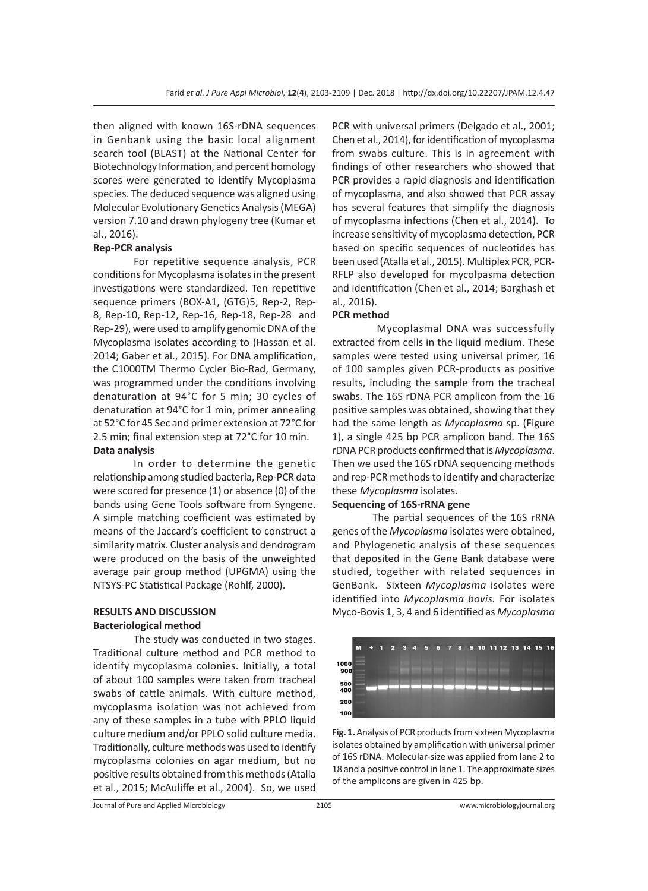then aligned with known 16S-rDNA sequences in Genbank using the basic local alignment search tool (BLAST) at the National Center for Biotechnology Information, and percent homology scores were generated to identify Mycoplasma species. The deduced sequence was aligned using Molecular Evolutionary Genetics Analysis (MEGA) version 7.10 and drawn phylogeny tree (Kumar et al., 2016).

## **Rep-PCR analysis**

For repetitive sequence analysis, PCR conditions for Mycoplasma isolates in the present investigations were standardized. Ten repetitive sequence primers (BOX-A1, (GTG)5, Rep-2, Rep-8, Rep-10, Rep-12, Rep-16, Rep-18, Rep-28 and Rep-29), were used to amplify genomic DNA of the Mycoplasma isolates according to (Hassan et al. 2014; Gaber et al., 2015). For DNA amplification, the C1000TM Thermo Cycler Bio-Rad, Germany, was programmed under the conditions involving denaturation at 94°C for 5 min; 30 cycles of denaturation at 94°C for 1 min, primer annealing at 52°C for 45 Sec and primer extension at 72°C for 2.5 min; final extension step at 72°C for 10 min. **Data analysis** 

In order to determine the genetic relationship among studied bacteria, Rep-PCR data were scored for presence (1) or absence (0) of the bands using Gene Tools software from Syngene. A simple matching coefficient was estimated by means of the Jaccard's coefficient to construct a similarity matrix. Cluster analysis and dendrogram were produced on the basis of the unweighted average pair group method (UPGMA) using the NTSYS-PC Statistical Package (Rohlf, 2000).

## **RESULTS AND DISCUSSION Bacteriological method**

The study was conducted in two stages. Traditional culture method and PCR method to identify mycoplasma colonies. Initially, a total of about 100 samples were taken from tracheal swabs of cattle animals. With culture method, mycoplasma isolation was not achieved from any of these samples in a tube with PPLO liquid culture medium and/or PPLO solid culture media. Traditionally, culture methods was used to identify mycoplasma colonies on agar medium, but no positive results obtained from this methods (Atalla et al., 2015; McAuliffe et al., 2004). So, we used PCR with universal primers (Delgado et al., 2001; Chen et al., 2014), for identification of mycoplasma from swabs culture. This is in agreement with findings of other researchers who showed that PCR provides a rapid diagnosis and identification of mycoplasma, and also showed that PCR assay has several features that simplify the diagnosis of mycoplasma infections (Chen et al., 2014). To increase sensitivity of mycoplasma detection, PCR based on specific sequences of nucleotides has been used (Atalla et al., 2015). Multiplex PCR, PCR-RFLP also developed for mycolpasma detection and identification (Chen et al., 2014; Barghash et al., 2016).

## **PCR method**

 Mycoplasmal DNA was successfully extracted from cells in the liquid medium. These samples were tested using universal primer, 16 of 100 samples given PCR-products as positive results, including the sample from the tracheal swabs. The 16S rDNA PCR amplicon from the 16 positive samples was obtained, showing that they had the same length as *Mycoplasma* sp. (Figure 1), a single 425 bp PCR amplicon band. The 16S rDNA PCR products confirmed that is *Mycoplasma*. Then we used the 16S rDNA sequencing methods and rep-PCR methods to identify and characterize these *Mycoplasma* isolates.

## **Sequencing of 16S-rRNA gene**

The partial sequences of the 16S rRNA genes of the *Mycoplasma* isolates were obtained, and Phylogenetic analysis of these sequences that deposited in the Gene Bank database were studied, together with related sequences in GenBank. Sixteen *Mycoplasma* isolates were identified into *Mycoplasma bovis.* For isolates Myco-Bovis 1, 3, 4 and 6 identified as *Mycoplasma* 



**Fig. 1.** Analysis of PCR products from sixteen Mycoplasma isolates obtained by amplification with universal primer of 16S rDNA. Molecular-size was applied from lane 2 to 18 and a positive control in lane 1. The approximate sizes of the amplicons are given in 425 bp.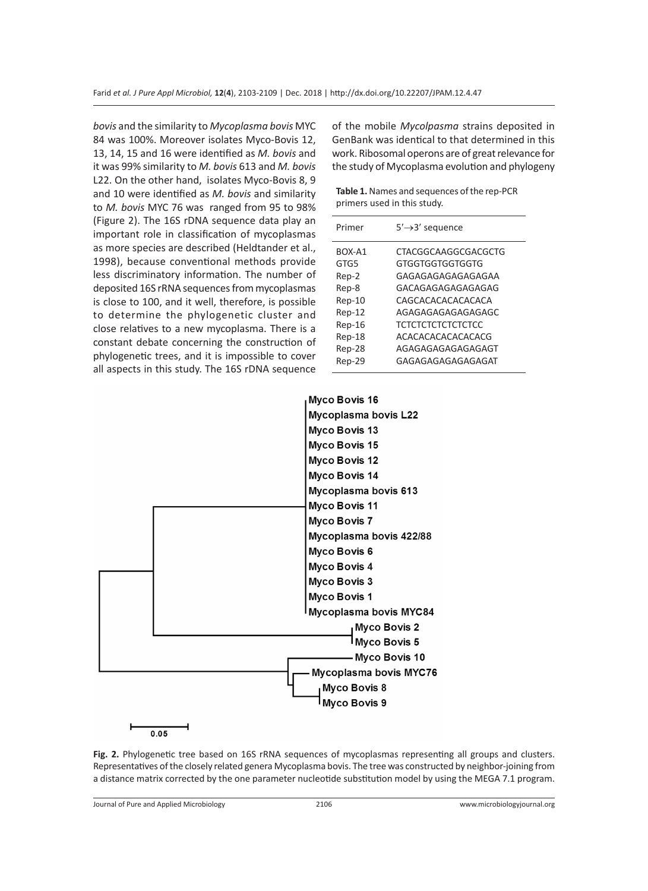*bovis* and the similarity to *Mycoplasma bovis* MYC 84 was 100%. Moreover isolates Myco-Bovis 12, 13, 14, 15 and 16 were identified as *M. bovis* and it was 99% similarity to *M. bovis* 613 and *M. bovis*  L22. On the other hand, isolates Myco-Bovis 8, 9 and 10 were identified as *M. bovis* and similarity to *M. bovis* MYC 76 was ranged from 95 to 98% (Figure 2). The 16S rDNA sequence data play an important role in classification of mycoplasmas as more species are described (Heldtander et al., 1998), because conventional methods provide less discriminatory information. The number of deposited 16S rRNA sequences from mycoplasmas is close to 100, and it well, therefore, is possible to determine the phylogenetic cluster and close relatives to a new mycoplasma. There is a constant debate concerning the construction of phylogenetic trees, and it is impossible to cover all aspects in this study. The 16S rDNA sequence of the mobile *Mycolpasma* strains deposited in GenBank was identical to that determined in this work. Ribosomal operons are of great relevance for the study of Mycoplasma evolution and phylogeny

**Table 1.** Names and sequences of the rep-PCR primers used in this study.

| Primer | $5' \rightarrow 3'$ sequence |
|--------|------------------------------|
| BOX-A1 | CTACGGCAAGGCGACGCTG          |
| GTG5   | GTGGTGGTGGTGGTG              |
| Rep-2  | GAGAGAGAGAGAGAGAA            |
| Rep-8  | GACAGAGAGAGAGAGAG            |
| Rep-10 | CAGCACACACACACACA            |
| Rep-12 | AGAGAGAGAGAGAGAGC            |
| Rep-16 | <b>TCTCTCTCTCTCTCTCC</b>     |
| Rep-18 | ACACACACACACACACG            |
| Rep-28 | AGAGAGAGAGAGAGAGT            |
| Rep-29 | GAGAGAGAGAGAGAGAT            |
|        |                              |



**Fig. 2.** Phylogenetic tree based on 16S rRNA sequences of mycoplasmas representing all groups and clusters. Representatives of the closely related genera Mycoplasma bovis. The tree was constructed by neighbor-joining from a distance matrix corrected by the one parameter nucleotide substitution model by using the MEGA 7.1 program.

Journal of Pure and Applied Microbiology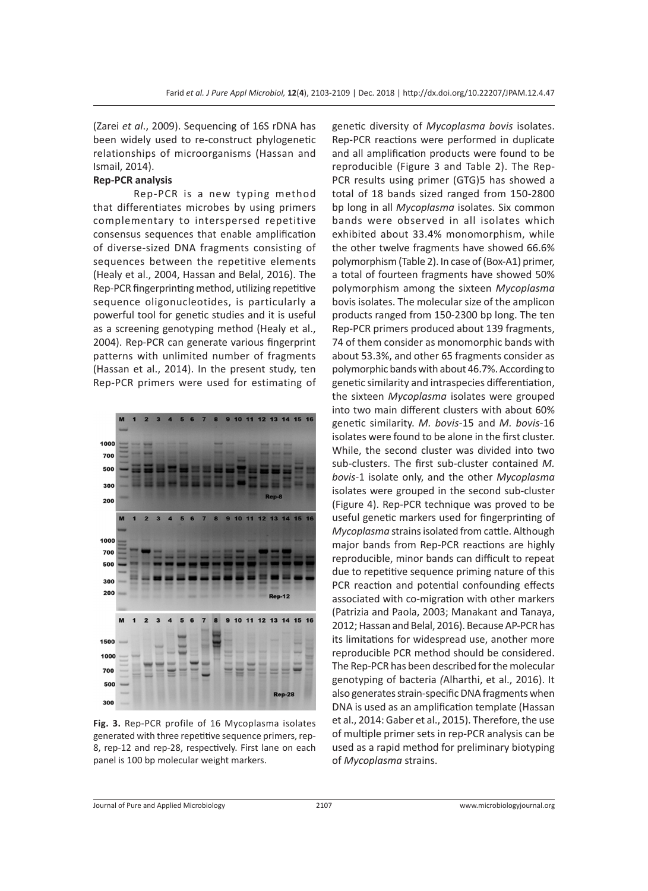(Zarei *et al*., 2009). Sequencing of 16S rDNA has been widely used to re-construct phylogenetic relationships of microorganisms (Hassan and Ismail, 2014).

## **Rep-PCR analysis**

Rep-PCR is a new typing method that differentiates microbes by using primers complementary to interspersed repetitive consensus sequences that enable amplification of diverse-sized DNA fragments consisting of sequences between the repetitive elements (Healy et al., 2004, Hassan and Belal, 2016). The Rep-PCR fingerprinting method, utilizing repetitive sequence oligonucleotides, is particularly a powerful tool for genetic studies and it is useful as a screening genotyping method (Healy et al., 2004). Rep-PCR can generate various fingerprint patterns with unlimited number of fragments (Hassan et al., 2014). In the present study, ten Rep-PCR primers were used for estimating of



**Fig. 3.** Rep-PCR profile of 16 Mycoplasma isolates generated with three repetitive sequence primers, rep-8, rep-12 and rep-28, respectively. First lane on each panel is 100 bp molecular weight markers.

genetic diversity of *Mycoplasma bovis* isolates. Rep-PCR reactions were performed in duplicate and all amplification products were found to be reproducible (Figure 3 and Table 2). The Rep-PCR results using primer (GTG)5 has showed a total of 18 bands sized ranged from 150-2800 bp long in all *Mycoplasma* isolates. Six common bands were observed in all isolates which exhibited about 33.4% monomorphism, while the other twelve fragments have showed 66.6% polymorphism (Table 2). In case of (Box-A1) primer, a total of fourteen fragments have showed 50% polymorphism among the sixteen *Mycoplasma* bovis isolates. The molecular size of the amplicon products ranged from 150-2300 bp long. The ten Rep-PCR primers produced about 139 fragments, 74 of them consider as monomorphic bands with about 53.3%, and other 65 fragments consider as polymorphic bands with about 46.7%. According to genetic similarity and intraspecies differentiation, the sixteen *Mycoplasma* isolates were grouped into two main different clusters with about 60% genetic similarity. *M. bovis*-15 and *M. bovis*-16 isolates were found to be alone in the first cluster. While, the second cluster was divided into two sub-clusters. The first sub-cluster contained *M. bovis*-1 isolate only, and the other *Mycoplasma* isolates were grouped in the second sub-cluster (Figure 4). Rep-PCR technique was proved to be useful genetic markers used for fingerprinting of *Mycoplasma* strains isolated from cattle. Although major bands from Rep-PCR reactions are highly reproducible, minor bands can difficult to repeat due to repetitive sequence priming nature of this PCR reaction and potential confounding effects associated with co-migration with other markers (Patrizia and Paola, 2003; Manakant and Tanaya, 2012; Hassan and Belal, 2016). Because AP-PCR has its limitations for widespread use, another more reproducible PCR method should be considered. The Rep-PCR has been described for the molecular genotyping of bacteria *(*Alharthi, et al., 2016). It also generates strain-specific DNA fragments when DNA is used as an amplification template (Hassan et al., 2014: Gaber et al., 2015). Therefore, the use of multiple primer sets in rep-PCR analysis can be used as a rapid method for preliminary biotyping of *Mycoplasma* strains.

Journal of Pure and Applied Microbiology 2107 www.microbiologyjournal.org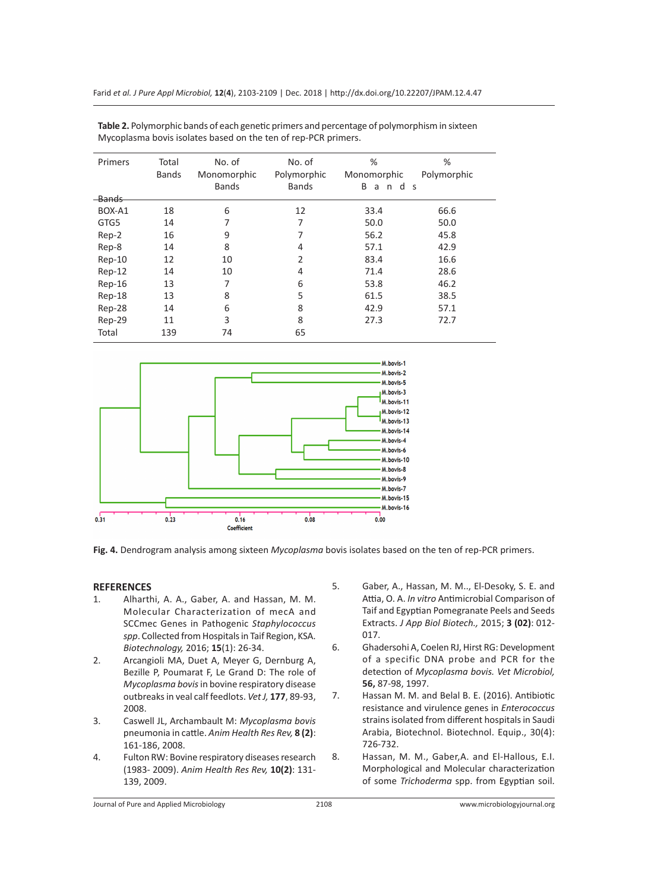| Primers  | Total<br><b>Bands</b> | No. of<br>Monomorphic<br><b>Bands</b> | No. of<br>Polymorphic<br><b>Bands</b> | %<br>Monomorphic<br>B<br>d<br>a<br>n. | %<br>Polymorphic<br>-S |
|----------|-----------------------|---------------------------------------|---------------------------------------|---------------------------------------|------------------------|
| -Bands   |                       |                                       |                                       |                                       |                        |
| BOX-A1   | 18                    | 6                                     | 12                                    | 33.4                                  | 66.6                   |
| GTG5     | 14                    | 7                                     | 7                                     | 50.0                                  | 50.0                   |
| Rep-2    | 16                    | 9                                     | 7                                     | 56.2                                  | 45.8                   |
| Rep-8    | 14                    | 8                                     | 4                                     | 57.1                                  | 42.9                   |
| Rep-10   | 12                    | 10                                    | $\overline{2}$                        | 83.4                                  | 16.6                   |
| $Rep-12$ | 14                    | 10                                    | 4                                     | 71.4                                  | 28.6                   |
| Rep-16   | 13                    | 7                                     | 6                                     | 53.8                                  | 46.2                   |
| Rep-18   | 13                    | 8                                     | 5                                     | 61.5                                  | 38.5                   |
| Rep-28   | 14                    | 6                                     | 8                                     | 42.9                                  | 57.1                   |
| Rep-29   | 11                    | 3                                     | 8                                     | 27.3                                  | 72.7                   |
| Total    | 139                   | 74                                    | 65                                    |                                       |                        |

**Table 2.** Polymorphic bands of each genetic primers and percentage of polymorphism in sixteen Mycoplasma bovis isolates based on the ten of rep-PCR primers.



**Fig. 4.** Dendrogram analysis among sixteen *Mycoplasma* bovis isolates based on the ten of rep-PCR primers.

#### **REFERENCES**

- 1. Alharthi, A. A., Gaber, A. and Hassan, M. M. Molecular Characterization of mecA and SCCmec Genes in Pathogenic *Staphylococcus spp*. Collected from Hospitals in Taif Region, KSA. *Biotechnology,* 2016; **15**(1): 26-34.
- 2. Arcangioli MA, Duet A, Meyer G, Dernburg A, Bezille P, Poumarat F, Le Grand D: The role of *Mycoplasma bovis* in bovine respiratory disease outbreaks in veal calf feedlots. *Vet J,* **177**, 89-93, 2008.
- 3. Caswell JL, Archambault M: *Mycoplasma bovis*  pneumonia in cattle. *Anim Health Res Rev,* **8 (2)**: 161-186, 2008.
- 4. Fulton RW: Bovine respiratory diseases research (1983- 2009). *Anim Health Res Rev,* **10(2)**: 131- 139, 2009.
- 5. Gaber, A., Hassan, M. M.., El-Desoky, S. E. and Attia, O. A. *In vitro* Antimicrobial Comparison of Taif and Egyptian Pomegranate Peels and Seeds Extracts. *J App Biol Biotech.,* 2015; **3 (02)**: 012- 017.
- 6. Ghadersohi A, Coelen RJ, Hirst RG: Development of a specific DNA probe and PCR for the detection of *Mycoplasma bovis. Vet Microbiol,*  **56,** 87-98, 1997.
- 7. Hassan M. M. and Belal B. E. (2016). Antibiotic resistance and virulence genes in *Enterococcus*  strains isolated from different hospitals in Saudi Arabia, Biotechnol. Biotechnol. Equip., 30(4): 726-732.
- 8. Hassan, M. M., Gaber,A. and El-Hallous, E.I. Morphological and Molecular characterization of some *Trichoderma* spp. from Egyptian soil.